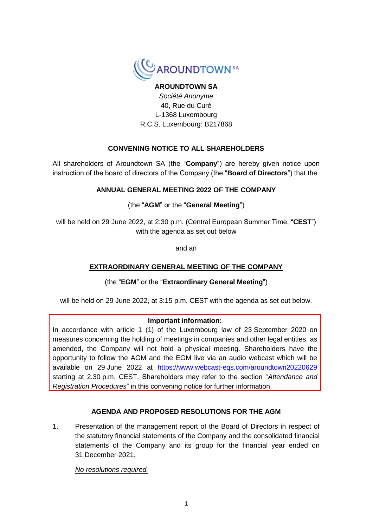

# **AROUNDTOWN SA** *Société Anonyme* 40, Rue du Curé

L-1368 Luxembourg R.C.S. Luxembourg: B217868

# **CONVENING NOTICE TO ALL SHAREHOLDERS**

All shareholders of Aroundtown SA (the "**Company**") are hereby given notice upon instruction of the board of directors of the Company (the "**Board of Directors**") that the

# **ANNUAL GENERAL MEETING 2022 OF THE COMPANY**

(the "**AGM**" or the "**General Meeting**")

will be held on 29 June 2022, at 2:30 p.m. (Central European Summer Time, "**CEST**") with the agenda as set out below

and an

# **EXTRAORDINARY GENERAL MEETING OF THE COMPANY**

(the "**EGM**" or the "**Extraordinary General Meeting**")

will be held on 29 June 2022, at 3:15 p.m. CEST with the agenda as set out below.

# **Important information:**

In accordance with article 1 (1) of the Luxembourg law of 23 September 2020 on measures concerning the holding of meetings in companies and other legal entities, as amended, the Company will not hold a physical meeting. Shareholders have the opportunity to follow the AGM and the EGM live via an audio webcast which will be available on 29 June 2022 at <https://www.webcast-eqs.com/aroundtown20220629> starting at 2.30 p.m. CEST. Shareholders may refer to the section "*Attendance and Registration Procedures*" in this convening notice for further information.

# **AGENDA AND PROPOSED RESOLUTIONS FOR THE AGM**

1. Presentation of the management report of the Board of Directors in respect of the statutory financial statements of the Company and the consolidated financial statements of the Company and its group for the financial year ended on 31 December 2021.

*No resolutions required.*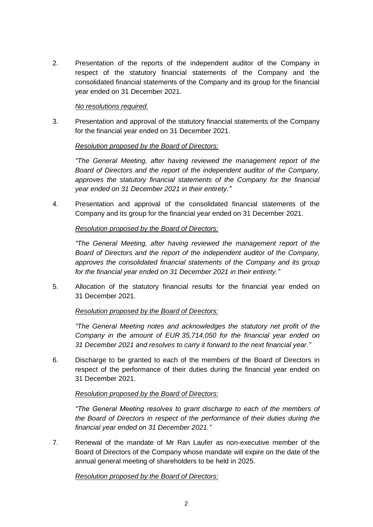2. Presentation of the reports of the independent auditor of the Company in respect of the statutory financial statements of the Company and the consolidated financial statements of the Company and its group for the financial year ended on 31 December 2021.

#### *No resolutions required.*

3. Presentation and approval of the statutory financial statements of the Company for the financial year ended on 31 December 2021.

## *Resolution proposed by the Board of Directors:*

*"The General Meeting, after having reviewed the management report of the Board of Directors and the report of the independent auditor of the Company, approves the statutory financial statements of the Company for the financial year ended on 31 December 2021 in their entirety."*

4. Presentation and approval of the consolidated financial statements of the Company and its group for the financial year ended on 31 December 2021.

## *Resolution proposed by the Board of Directors:*

*"The General Meeting, after having reviewed the management report of the Board of Directors and the report of the independent auditor of the Company, approves the consolidated financial statements of the Company and its group for the financial year ended on 31 December 2021 in their entirety."*

5. Allocation of the statutory financial results for the financial year ended on 31 December 2021.

# *Resolution proposed by the Board of Directors:*

*"The General Meeting notes and acknowledges the statutory net profit of the Company in the amount of EUR 35,714,050 for the financial year ended on 31 December 2021 and resolves to carry it forward to the next financial year."*

6. Discharge to be granted to each of the members of the Board of Directors in respect of the performance of their duties during the financial year ended on 31 December 2021.

# *Resolution proposed by the Board of Directors:*

*"The General Meeting resolves to grant discharge to each of the members of the Board of Directors in respect of the performance of their duties during the financial year ended on 31 December 2021."*

7. Renewal of the mandate of Mr Ran Laufer as non-executive member of the Board of Directors of the Company whose mandate will expire on the date of the annual general meeting of shareholders to be held in 2025.

*Resolution proposed by the Board of Directors:*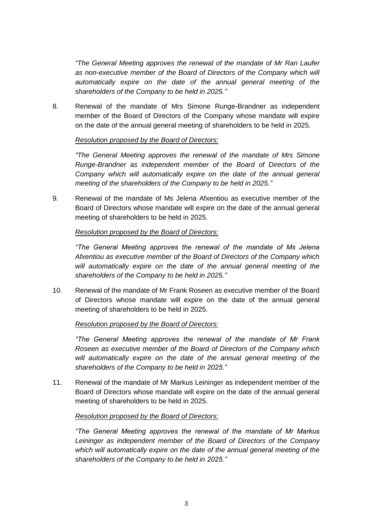*"The General Meeting approves the renewal of the mandate of Mr Ran Laufer*  as non-executive member of the Board of Directors of the Company which will *automatically expire on the date of the annual general meeting of the shareholders of the Company to be held in 2025."*

8. Renewal of the mandate of Mrs Simone Runge-Brandner as independent member of the Board of Directors of the Company whose mandate will expire on the date of the annual general meeting of shareholders to be held in 2025.

#### *Resolution proposed by the Board of Directors:*

*"The General Meeting approves the renewal of the mandate of Mrs Simone Runge-Brandner as independent member of the Board of Directors of the Company which will automatically expire on the date of the annual general meeting of the shareholders of the Company to be held in 2025."*

9. Renewal of the mandate of Ms Jelena Afxentiou as executive member of the Board of Directors whose mandate will expire on the date of the annual general meeting of shareholders to be held in 2025.

## *Resolution proposed by the Board of Directors:*

*"The General Meeting approves the renewal of the mandate of Ms Jelena Afxentiou as executive member of the Board of Directors of the Company which will automatically expire on the date of the annual general meeting of the shareholders of the Company to be held in 2025."*

10. Renewal of the mandate of Mr Frank Roseen as executive member of the Board of Directors whose mandate will expire on the date of the annual general meeting of shareholders to be held in 2025.

# *Resolution proposed by the Board of Directors:*

*"The General Meeting approves the renewal of the mandate of Mr Frank Roseen as executive member of the Board of Directors of the Company which*  will automatically expire on the date of the annual general meeting of the *shareholders of the Company to be held in 2025."*

11. Renewal of the mandate of Mr Markus Leininger as independent member of the Board of Directors whose mandate will expire on the date of the annual general meeting of shareholders to be held in 2025.

# *Resolution proposed by the Board of Directors:*

*"The General Meeting approves the renewal of the mandate of Mr Markus Leininger as independent member of the Board of Directors of the Company which will automatically expire on the date of the annual general meeting of the shareholders of the Company to be held in 2025."*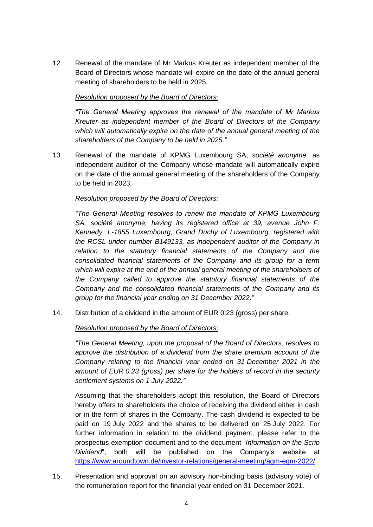12. Renewal of the mandate of Mr Markus Kreuter as independent member of the Board of Directors whose mandate will expire on the date of the annual general meeting of shareholders to be held in 2025.

## *Resolution proposed by the Board of Directors:*

*"The General Meeting approves the renewal of the mandate of Mr Markus Kreuter as independent member of the Board of Directors of the Company which will automatically expire on the date of the annual general meeting of the shareholders of the Company to be held in 2025."*

13. Renewal of the mandate of KPMG Luxembourg SA, *société anonyme,* as independent auditor of the Company whose mandate will automatically expire on the date of the annual general meeting of the shareholders of the Company to be held in 2023.

#### *Resolution proposed by the Board of Directors:*

*"The General Meeting resolves to renew the mandate of KPMG Luxembourg SA, société anonyme, having its registered office at 39, avenue John F. Kennedy, L-1855 Luxembourg, Grand Duchy of Luxembourg, registered with the RCSL under number B149133, as independent auditor of the Company in relation to the statutory financial statements of the Company and the consolidated financial statements of the Company and its group for a term which will expire at the end of the annual general meeting of the shareholders of the Company called to approve the statutory financial statements of the Company and the consolidated financial statements of the Company and its group for the financial year ending on 31 December 2022*.*"*

14. Distribution of a dividend in the amount of EUR 0.23 (gross) per share.

#### *Resolution proposed by the Board of Directors:*

*"The General Meeting, upon the proposal of the Board of Directors, resolves to approve the distribution of a dividend from the share premium account of the Company relating to the financial year ended on 31 December 2021 in the amount of EUR 0.23 (gross) per share for the holders of record in the security settlement systems on 1 July 2022."*

Assuming that the shareholders adopt this resolution, the Board of Directors hereby offers to shareholders the choice of receiving the dividend either in cash or in the form of shares in the Company. The cash dividend is expected to be paid on 19 July 2022 and the shares to be delivered on 25 July 2022. For further information in relation to the dividend payment, please refer to the prospectus exemption document and to the document "*Information on the Scrip Dividend*", both will be published on the Company's website at [https://www.aroundtown.de/investor-relations/general-meeting/agm-egm-2022/.](https://www.aroundtown.de/investor-relations/general-meeting/agm-egm-2022/)

15. Presentation and approval on an advisory non-binding basis (advisory vote) of the remuneration report for the financial year ended on 31 December 2021.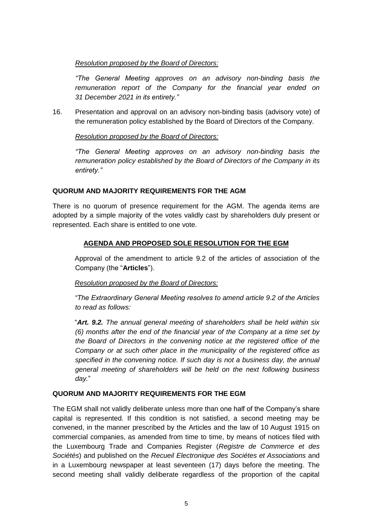# *Resolution proposed by the Board of Directors:*

*"The General Meeting approves on an advisory non-binding basis the remuneration report of the Company for the financial year ended on 31 December 2021 in its entirety."*

16. Presentation and approval on an advisory non-binding basis (advisory vote) of the remuneration policy established by the Board of Directors of the Company.

## *Resolution proposed by the Board of Directors:*

*"The General Meeting approves on an advisory non-binding basis the remuneration policy established by the Board of Directors of the Company in its entirety."*

# **QUORUM AND MAJORITY REQUIREMENTS FOR THE AGM**

There is no quorum of presence requirement for the AGM. The agenda items are adopted by a simple majority of the votes validly cast by shareholders duly present or represented. Each share is entitled to one vote.

## **AGENDA AND PROPOSED SOLE RESOLUTION FOR THE EGM**

Approval of the amendment to article 9.2 of the articles of association of the Company (the "**Articles**").

#### *Resolution proposed by the Board of Directors:*

*"The Extraordinary General Meeting resolves to amend article 9.2 of the Articles to read as follows:*

"*Art. 9.2. The annual general meeting of shareholders shall be held within six (6) months after the end of the financial year of the Company at a time set by the Board of Directors in the convening notice at the registered office of the Company or at such other place in the municipality of the registered office as specified in the convening notice. If such day is not a business day, the annual general meeting of shareholders will be held on the next following business day.*"

# **QUORUM AND MAJORITY REQUIREMENTS FOR THE EGM**

The EGM shall not validly deliberate unless more than one half of the Company's share capital is represented. If this condition is not satisfied, a second meeting may be convened, in the manner prescribed by the Articles and the law of 10 August 1915 on commercial companies, as amended from time to time, by means of notices filed with the Luxembourg Trade and Companies Register (*Registre de Commerce et des Sociétés*) and published on the *Recueil Electronique des Sociétes et Associations* and in a Luxembourg newspaper at least seventeen (17) days before the meeting. The second meeting shall validly deliberate regardless of the proportion of the capital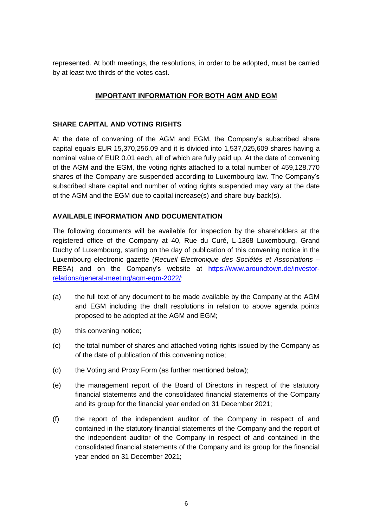represented. At both meetings, the resolutions, in order to be adopted, must be carried by at least two thirds of the votes cast.

# **IMPORTANT INFORMATION FOR BOTH AGM AND EGM**

# **SHARE CAPITAL AND VOTING RIGHTS**

At the date of convening of the AGM and EGM, the Company's subscribed share capital equals EUR 15,370,256.09 and it is divided into 1,537,025,609 shares having a nominal value of EUR 0.01 each, all of which are fully paid up. At the date of convening of the AGM and the EGM, the voting rights attached to a total number of 459,128,770 shares of the Company are suspended according to Luxembourg law. The Company's subscribed share capital and number of voting rights suspended may vary at the date of the AGM and the EGM due to capital increase(s) and share buy-back(s).

# **AVAILABLE INFORMATION AND DOCUMENTATION**

The following documents will be available for inspection by the shareholders at the registered office of the Company at 40, Rue du Curé, L-1368 Luxembourg, Grand Duchy of Luxembourg, starting on the day of publication of this convening notice in the Luxembourg electronic gazette (*Recueil Electronique des Sociétés et Associations* – RESA) and on the Company's website at [https://www.aroundtown.de/investor](https://www.aroundtown.de/investor-relations/general-meeting/agm-egm-2022/)[relations/general-meeting/agm-egm-2022/:](https://www.aroundtown.de/investor-relations/general-meeting/agm-egm-2022/)

- (a) the full text of any document to be made available by the Company at the AGM and EGM including the draft resolutions in relation to above agenda points proposed to be adopted at the AGM and EGM;
- (b) this convening notice;
- (c) the total number of shares and attached voting rights issued by the Company as of the date of publication of this convening notice;
- (d) the Voting and Proxy Form (as further mentioned below);
- (e) the management report of the Board of Directors in respect of the statutory financial statements and the consolidated financial statements of the Company and its group for the financial year ended on 31 December 2021;
- (f) the report of the independent auditor of the Company in respect of and contained in the statutory financial statements of the Company and the report of the independent auditor of the Company in respect of and contained in the consolidated financial statements of the Company and its group for the financial year ended on 31 December 2021;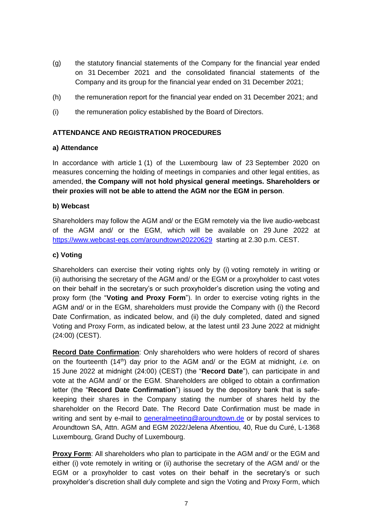- (g) the statutory financial statements of the Company for the financial year ended on 31 December 2021 and the consolidated financial statements of the Company and its group for the financial year ended on 31 December 2021;
- (h) the remuneration report for the financial year ended on 31 December 2021; and
- (i) the remuneration policy established by the Board of Directors.

## **ATTENDANCE AND REGISTRATION PROCEDURES**

#### **a) Attendance**

In accordance with article 1 (1) of the Luxembourg law of 23 September 2020 on measures concerning the holding of meetings in companies and other legal entities, as amended, **the Company will not hold physical general meetings. Shareholders or their proxies will not be able to attend the AGM nor the EGM in person**.

## **b) Webcast**

Shareholders may follow the AGM and/ or the EGM remotely via the live audio-webcast of the AGM and/ or the EGM, which will be available on 29 June 2022 at <https://www.webcast-eqs.com/aroundtown20220629> starting at 2.30 p.m. CEST.

## **c) Voting**

Shareholders can exercise their voting rights only by (i) voting remotely in writing or (ii) authorising the secretary of the AGM and/ or the EGM or a proxyholder to cast votes on their behalf in the secretary's or such proxyholder's discretion using the voting and proxy form (the "**Voting and Proxy Form**"). In order to exercise voting rights in the AGM and/ or in the EGM, shareholders must provide the Company with (i) the Record Date Confirmation, as indicated below, and (ii) the duly completed, dated and signed Voting and Proxy Form, as indicated below, at the latest until 23 June 2022 at midnight (24:00) (CEST).

**Record Date Confirmation**: Only shareholders who were holders of record of shares on the fourteenth (14th) day prior to the AGM and/ or the EGM at midnight, *i.e.* on 15 June 2022 at midnight (24:00) (CEST) (the "**Record Date**"), can participate in and vote at the AGM and/ or the EGM. Shareholders are obliged to obtain a confirmation letter (the "**Record Date Confirmation**") issued by the depository bank that is safekeeping their shares in the Company stating the number of shares held by the shareholder on the Record Date. The Record Date Confirmation must be made in writing and sent by e-mail to [generalmeeting@aroundtown.de](mailto:generalmeeting@aroundtown.de) or by postal services to Aroundtown SA, Attn. AGM and EGM 2022/Jelena Afxentiou, 40, Rue du Curé, L-1368 Luxembourg, Grand Duchy of Luxembourg.

**Proxy Form:** All shareholders who plan to participate in the AGM and/ or the EGM and either (i) vote remotely in writing or (ii) authorise the secretary of the AGM and/ or the EGM or a proxyholder to cast votes on their behalf in the secretary's or such proxyholder's discretion shall duly complete and sign the Voting and Proxy Form, which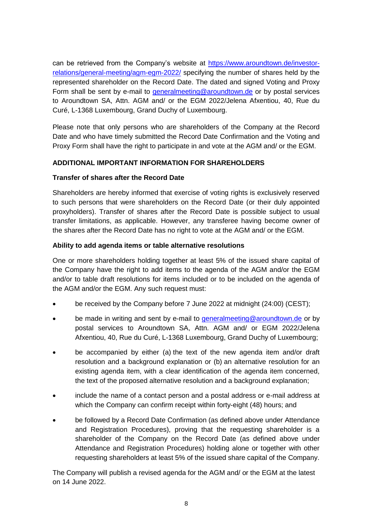can be retrieved from the Company's website at [https://www.aroundtown.de/investor](https://www.aroundtown.de/investor-relations/general-meeting/agm-egm-2022/)[relations/general-meeting/agm-egm-2022/](https://www.aroundtown.de/investor-relations/general-meeting/agm-egm-2022/) specifying the number of shares held by the represented shareholder on the Record Date. The dated and signed Voting and Proxy Form shall be sent by e-mail to [generalmeeting@aroundtown.de](mailto:generalmeeting@aroundtown.de) or by postal services to Aroundtown SA, Attn. AGM and/ or the EGM 2022/Jelena Afxentiou, 40, Rue du Curé, L-1368 Luxembourg, Grand Duchy of Luxembourg.

Please note that only persons who are shareholders of the Company at the Record Date and who have timely submitted the Record Date Confirmation and the Voting and Proxy Form shall have the right to participate in and vote at the AGM and/ or the EGM.

# **ADDITIONAL IMPORTANT INFORMATION FOR SHAREHOLDERS**

## **Transfer of shares after the Record Date**

Shareholders are hereby informed that exercise of voting rights is exclusively reserved to such persons that were shareholders on the Record Date (or their duly appointed proxyholders). Transfer of shares after the Record Date is possible subject to usual transfer limitations, as applicable. However, any transferee having become owner of the shares after the Record Date has no right to vote at the AGM and/ or the EGM.

## **Ability to add agenda items or table alternative resolutions**

One or more shareholders holding together at least 5% of the issued share capital of the Company have the right to add items to the agenda of the AGM and/or the EGM and/or to table draft resolutions for items included or to be included on the agenda of the AGM and/or the EGM. Any such request must:

- be received by the Company before 7 June 2022 at midnight (24:00) (CEST);
- be made in writing and sent by e-mail to [generalmeeting@aroundtown.de](mailto:generalmeeting@aroundtown.de) or by postal services to Aroundtown SA, Attn. AGM and/ or EGM 2022/Jelena Afxentiou, 40, Rue du Curé, L-1368 Luxembourg, Grand Duchy of Luxembourg;
- be accompanied by either (a) the text of the new agenda item and/or draft resolution and a background explanation or (b) an alternative resolution for an existing agenda item, with a clear identification of the agenda item concerned, the text of the proposed alternative resolution and a background explanation;
- include the name of a contact person and a postal address or e-mail address at which the Company can confirm receipt within forty-eight (48) hours; and
- be followed by a Record Date Confirmation (as defined above under Attendance and Registration Procedures), proving that the requesting shareholder is a shareholder of the Company on the Record Date (as defined above under Attendance and Registration Procedures) holding alone or together with other requesting shareholders at least 5% of the issued share capital of the Company.

The Company will publish a revised agenda for the AGM and/ or the EGM at the latest on 14 June 2022.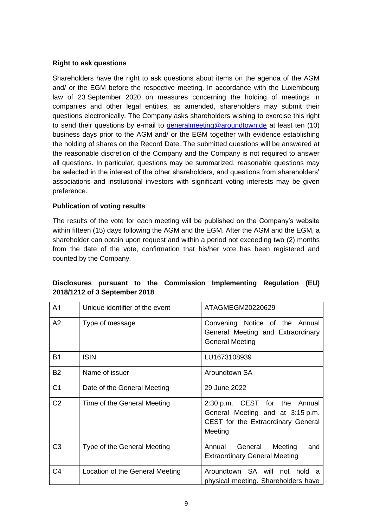## **Right to ask questions**

Shareholders have the right to ask questions about items on the agenda of the AGM and/ or the EGM before the respective meeting. In accordance with the Luxembourg law of 23 September 2020 on measures concerning the holding of meetings in companies and other legal entities, as amended, shareholders may submit their questions electronically. The Company asks shareholders wishing to exercise this right to send their questions by e-mail to [generalmeeting@aroundtown.de](mailto:generalmeeting@aroundtown.de) at least ten  $(10)$ business days prior to the AGM and/ or the EGM together with evidence establishing the holding of shares on the Record Date. The submitted questions will be answered at the reasonable discretion of the Company and the Company is not required to answer all questions. In particular, questions may be summarized, reasonable questions may be selected in the interest of the other shareholders, and questions from shareholders' associations and institutional investors with significant voting interests may be given preference.

## **Publication of voting results**

The results of the vote for each meeting will be published on the Company's website within fifteen (15) days following the AGM and the EGM. After the AGM and the EGM, a shareholder can obtain upon request and within a period not exceeding two (2) months from the date of the vote, confirmation that his/her vote has been registered and counted by the Company.

| A <sub>1</sub> | Unique identifier of the event  | ATAGMEGM20220629                                                                                                   |
|----------------|---------------------------------|--------------------------------------------------------------------------------------------------------------------|
| A2             | Type of message                 | Convening Notice of the Annual<br>General Meeting and Extraordinary<br><b>General Meeting</b>                      |
| <b>B1</b>      | <b>ISIN</b>                     | LU1673108939                                                                                                       |
| <b>B2</b>      | Name of issuer                  | Aroundtown SA                                                                                                      |
| C <sub>1</sub> | Date of the General Meeting     | 29 June 2022                                                                                                       |
| C <sub>2</sub> | Time of the General Meeting     | 2:30 p.m. CEST for the Annual<br>General Meeting and at 3:15 p.m.<br>CEST for the Extraordinary General<br>Meeting |
| C <sub>3</sub> | Type of the General Meeting     | Annual<br>General<br>Meeting<br>and<br><b>Extraordinary General Meeting</b>                                        |
| C <sub>4</sub> | Location of the General Meeting | Aroundtown SA will not hold a<br>physical meeting. Shareholders have                                               |

# **Disclosures pursuant to the Commission Implementing Regulation (EU) 2018/1212 of 3 September 2018**